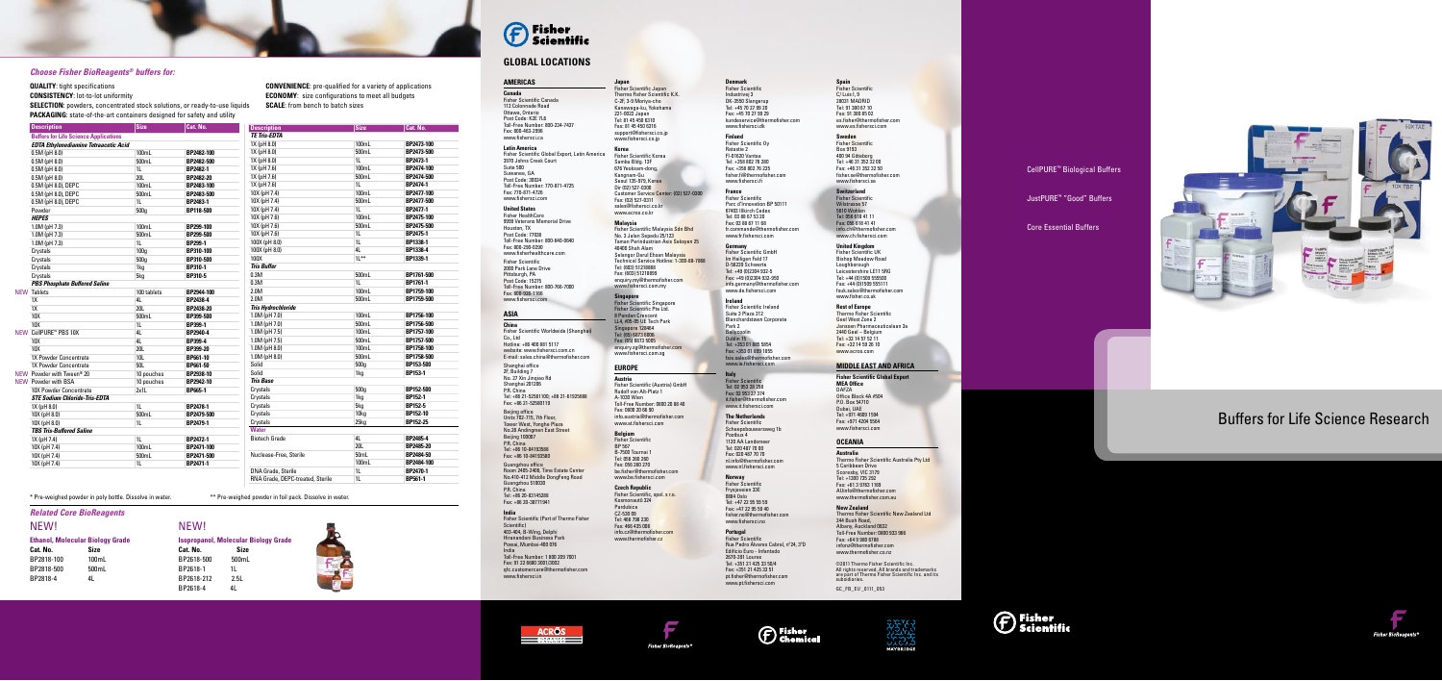CellPURE ™ Biological Buffers

JustPURE ™ "Good" Buffers

Core Essential Buffers



# Buffers for Life Science Research





\* Pre-weighed powder in poly bottle. Dissolve in water. \*\* Pre-weighed powder in foil pack. Dissolve in water.

**SELECTION**: powders, concentrated stock solutions, or ready-to-use liquids **PACKAGING:** state-of-the-art containers designed for safety and utility

| <b>Description</b>                           | <b>Size</b>      | Cat. No.        | <b>Description</b>               | <b>Size</b>      | Cat. No.        |
|----------------------------------------------|------------------|-----------------|----------------------------------|------------------|-----------------|
| <b>Buffers for Life Science Applications</b> |                  |                 | <b>TE Tris-EDTA</b>              |                  |                 |
| <b>EDTA Ethylenediamine Tetraacetic Acid</b> |                  |                 | 1X (pH 8.0)                      | 100mL            | BP2473-100      |
| $0.5M$ (pH $8.0$ )                           | 100mL            | BP2482-100      | 1X (pH 8.0)                      | 500mL            | BP2473-500      |
| $0.5M$ (pH $8.0$ )                           | 500mL            | BP2482-500      | 1X (pH 8.0)                      | 1L               | BP2473-1        |
| $0.5M$ (pH $8.0$ )                           | 1L               | <b>BP2482-1</b> | 1X (pH 7.6)                      | 100mL            | BP2474-100      |
| $0.5M$ (pH $8.0$ )                           | 20L              | BP2482-20       | 1X (pH 7.6)                      | 500mL            | BP2474-500      |
| 0.5M (pH 8.0), DEPC                          | 100mL            | BP2483-100      | 1X (pH 7.6)                      | 1 <sub>L</sub>   | BP2474-1        |
| 0.5M (pH 8.0), DEPC                          | 500mL            | BP2483-500      | 10X (pH 7.4)                     | 100mL            | BP2477-100      |
| 0.5M (pH 8.0), DEPC                          | 1L               | BP2483-1        | 10X (pH 7.4)                     | 500mL            | BP2477-500      |
| Powder                                       | 500g             | BP118-500       | 10X (pH 7.4)                     | 1 <sub>L</sub>   | <b>BP2477-1</b> |
| <b>HEPES</b>                                 |                  |                 | 10X (pH 7.6)                     | 100mL            | BP2475-100      |
| 1.0M (pH 7.3)                                | 100mL            | BP299-100       | 10X (pH 7.6)                     | 500mL            | BP2475-500      |
| 1.0M (pH 7.3)                                | 500mL            | BP299-500       | 10X (pH 7.6)                     | 1 <sub>L</sub>   | BP2475-1        |
| 1.0M (pH 7.3)                                | 1 <sub>L</sub>   | <b>BP299-1</b>  | 100X (pH 8.0)                    | 1 <sub>L</sub>   | BP1338-1        |
| Crystals                                     | 100 <sub>g</sub> | BP310-100       | 100X (pH 8.0)                    | 4L               | BP1338-4        |
| Crystals                                     | 500 <sub>a</sub> | BP310-500       | 100X                             | $11***$          | BP1339-1        |
| Crystals                                     | 1kg              | <b>BP310-1</b>  | <b>Tris Buffer</b>               |                  |                 |
| Crystals                                     | 5kg              | <b>BP310-5</b>  | 0.3M                             | 500mL            | BP1761-500      |
| <b>PBS Phosphate Buffered Saline</b>         |                  | 0.3M            | 1 <sub>L</sub>                   | BP1761-1         |                 |
| <b>NEW Tablets</b>                           | 100 tablets      | BP2944-100      | 2.0M                             | 100mL            | BP1759-100      |
| 1X                                           | 4L               | <b>BP2438-4</b> | 2.0M                             | 500mL            | BP1759-500      |
| 1X                                           | 20L              | BP2438-20       | <b>Tris Hydrochloride</b>        |                  |                 |
| 10 <sub>X</sub>                              | 500mL            | BP399-500       | $1.0M$ (pH $7.0$ )               | 100mL            | BP1756-100      |
| 10X                                          | 1 <sub>L</sub>   | BP399-1         | 1.0M (pH 7.0)                    | 500mL            | BP1756-500      |
| CellPURE™ PBS 10X<br><b>NEW</b>              | 4L               | <b>BP2940-4</b> | 1.0M (pH 7.5)                    | 100mL            | BP1757-100      |
| 10X                                          | 4L               | BP399-4         | $1.0M$ (pH 7.5)                  | 500mL            | BP1757-500      |
| 10X                                          | 20L              | BP399-20        | $1.0M$ (pH $8.0$ )               | 100mL            | BP1758-100      |
| 1X Powder Concentrate                        | 10 <sub>L</sub>  | BP661-10        | 1.0M (pH 8.0)                    | 500mL            | BP1758-500      |
| 1X Powder Concentrate                        | 50L              | BP661-50        | Solid                            | 500 <sub>a</sub> | BP153-500       |
| NEW Powder with Tween® 20                    | 10 pouches       | BP2938-10       | Solid                            | 1kg              | BP153-1         |
| NEW Powder with BSA                          | 10 pouches       | BP2942-10       | <b>Tris Base</b>                 |                  |                 |
| <b>10X Powder Concentrate</b>                | 2x1L             | <b>BP665-1</b>  | Crystals                         | 500g             | BP152-500       |
| <b>STE Sodium Chloride-Tris-EDTA</b>         |                  |                 | Crystals                         | 1kg              | <b>BP152-1</b>  |
| 1X (pH 8.0)                                  | 1L               | <b>BP2478-1</b> | Crystals                         | 5kg              | <b>BP152-5</b>  |
| 10X (pH 8.0)                                 | 500mL            | BP2479-500      | Crystals                         | 10kg             | BP152-10        |
| 10X (pH 8.0)                                 | 1 <sub>L</sub>   | BP2479-1        | Crystals                         | 25kg             | BP152-25        |
| <b>TBS Tris-Buffered Saline</b>              |                  |                 | <b>Water</b>                     |                  |                 |
| 1X (pH 7.4)                                  | 1 <sub>L</sub>   | BP2472-1        | <b>Biotech Grade</b>             | 4L               | <b>BP2485-4</b> |
| 10X (pH 7.4)                                 | 100mL            | BP2471-100      |                                  | <b>20L</b>       | BP2485-20       |
| 10X (pH 7.4)                                 | 500mL            | BP2471-500      | Nuclease-Free, Sterile           | 50 <sub>mL</sub> | BP2484-50       |
| 10X (pH 7.4)                                 | 1 <sub>L</sub>   | BP2471-1        |                                  | 100mL            | BP2484-100      |
|                                              |                  |                 | <b>DNA Grade, Sterile</b>        | 1 <sub>L</sub>   | BP2470-1        |
|                                              |                  |                 | RNA Grade, DEPC-treated, Sterile | 1 <sub>L</sub>   | BP561-1         |

Fisher HealthCare 9999 Veterans Memorial Drive Houston, TX Post Code: 77038 Toll-Free Number: 800-640-0640 Fax: 800-290-0290 www.fisherhealthcare.com Fisher Scientific 2000 Park Lane Drive Pittsburgh, PA Post Code: 15275 Toll-Free Number: 800-766-7000 Fax: 800-926-1166 www.fishersci.com

India Toll-Free Number: 1 800 209 7001 Fax: 91 22 6680 3001/3002 qfc.customercare@thermofisher.com www.fishersci.in

**CONSISTENCY**: lot-to-lot uniformity

**CONVENIENCE**: pre-qualified for a variety of applications **ECONOMY**: size configurations to meet all budgets **SCALE**: from bench to batch sizes

> **Malaysia**<br>Fisher Scientific Malaysi<mark>a Sdn Bhd</mark> No. 3 Jalan Sepadu 25/123 Taman Perindustrian Axis Seksyen 25 40400 Shah Alam Selangor Darul Ehsan Malaysia Technical Service Hotline: 1-300-88-7868 Tel: (603) 51218888 Fax: (603) 51218899 enquiry.my@thermofisher.com www.fishersci.com.my



### *Choose Fisher BioReagents® buffers for:*

**QUALITY:** tight specifications

# *Related Core BioReagents*

### NEW!

### **Ethanol, Molecular Biology Grade**

| Size  |
|-------|
| 100mL |
| 500ml |
| 41    |
|       |

NEW!



# **f** Fisher Scientific



©2011 Thermo Fisher Scientific Inc. All rights reserved, All brands and trademarks are part of Thermo Fisher Scientific Inc. and its subsidiaries.

GC\_FB\_EU \_0111\_053





# **Global Locations**

#### **AMERICAS**

**Canada** Fisher Scientific Canada 112 Colonnade Road Ottawa, Ontario Post Code: K2E 7L6 Toll-Free Number: 800-234-7437 Fax: 800-463-2996 www.fishersci.ca

#### **Latin America** Fisher Scientific Global Export, Latin America 3970 Johns Creek Court Suite 500 Suwanee, GA Post Code: 30024 Toll-Free Number: 770-871-4725 Fax: 770-871-4726 www.fishersci.com

#### **United States**

### **ASIA**

**China** Fisher Scientific Worldwide (Shanghai) Co., Ltd Hotline: +86 400 881 5117 website: www.fishersci.com.cn E-mail: sales.china@thermofisher.com Shanghai office 2F, Building 7 No. 27 Xin Jinqiao Rd Shanghai 201206 P.R. China Tel: +86 21-52581100; +86 21-61925688 Fax: +86 21-52580119 Beijing office Units 702-715, 7th Floor, Tower West, Yonghe Plaza No.28 Andingmen East Street Beijing 100007 P.R. China Tel: +86 10-84193588 Fax: +86 10-84193580 Guangzhou office

Room 2405-2406, Time Estate Center No.410-412 Middle DongFeng Road Guangzhou 510030 P.R. China Tel: +86 20-83145288 Fax: +86 20-38771941

#### **India** Fisher Scientific (Part of Thermo Fisher Scientific) 403-404, B-Wing, Delphi Hiranandani Business Park Powai, Mumbai-400 076

# **Japan** Fisher Scientific Japan Thermo Fisher Scientific K.K.

C-2F, 3-9 Moriya-cho Kanawaga-ku, Yokohama 221-0022 Japan Tel: 81 45 450 6310 Fax: 81 45 450 6316 support@fishersci.co.jp www.fishersci.co.jp

#### **Korea**

Fisher Scientific Korea Sambu Bldg. 13F 676 Yeoksam-dong, Kangnam-Gu Seoul 135-979, Korea Dir (02) 527-0300 Customer Service Center: (02) 527-0300 Fax: (02) 527-0311 sales@fishersci.co.kr www.acros.co.kr

**Singapore** Fisher Scientific Singapore Fisher Scientific Pte Ltd. 8 Pandan Crescent LL4, #05-05 UE Tech Park Singapore 128464 Tel: (65) 6873 6006 Fax: (65) 6873 5005 enquiry.sg@thermofisher.com www.fishersci.com.sg

### **EUROPE**

**Austria** Fisher Scientific (Austria) GmbH Rudolf von Alt-Platz 1 A-1030 Wien Toll-Free Number: 0800 20 88 40 Fax: 0800 20 66 90 info.austria@thermofisher.com www.at.fishersci.com

#### **Belgium**

Fisher Scientific BP 567 B-7500 Tournai 1 Tel: 056 260 260 Fax: 056 260 270 be.fisher@thermofisher.com www.be.fishersci.com

**Czech Republic** Fisher Scientific, spol. s r.o. Kosmonautů 324 Pardubice CZ-530 09 Tel: 466 798 230 Fax: 466 435 008 info.cz@thermofisher.com www.thermofisher.cz





**Denmark** Fisher Scientific Industrivej 3 DK-3550 Slangerup Tel: +45 70 27 99 20 Fax: +45 70 27 99 29 kundeservice@thermofisher.com www.fishersci.dk

**Finland** Fisher Scientific Oy Ratastie 2 FI-01620 Vantaa Tel: +358 802 76 280 Fax: +358 802 76 235 fisher.fi@thermofisher.com www.fishersci.fi

**France** Fisher Scientific Parc d'Innovation BP 50111 67403 Illkirch Cedex Tel: 03 88 67 53 20 Fax: 03 88 67 11 68 fr.commande@thermofisher.com www.fr.fishersci.com

**Germany** Fisher Scientific GmbH Im Heiligen Feld 17 D-58239 Schwerte Tel: +49 (0)2304 932-5 Fax: +49 (0)2304 932-950 info.germany@thermofisher.com www.de.fishersci.com

**Ireland** Fisher Scientific Ireland Suite 3 Plaza 212 Blanchardstown Corporate Park 2

Ballycoolin Dublin 15 Tel: +353 01 885 5854 Fax: +353 01 899 1855 fsie.sales@thermofisher.com www.ie.fishersci.com

**Italy** Fisher Scientific Tel: 02 953 28 258 Fax: 02 953 27 374 it.fisher@thermofisher.com www.it.fishersci.com

**The Netherlands** Fisher Scientific Scheepsbouwersweg 1b Postbus 4 1120 AA Landsmeer Tel: 020 487 70 00 Fax: 020 487 70 70

nl.info@thermofisher.com

www.nl.fishersci.com

**Norway** Fisher Scientific Frysjaveien 33E 0884 Oslo Tel: +47 22 95 59 59 Fax: +47 22 95 59 40 fisher.no@thermofisher.com www.fishersci.no

**Portugal**

Fisher Scientific Rua Pedro Álvares Cabral, nº24, 3ºD Edifício Euro - Infantado 2670-391 Loures Tel: +351 21 425 33 50/4 Fax: +351 21 425 33 51 pt.fisher@thermofisher.com www.pt.fishersci.com

**Spain** Fisher Scientific C/ Luis I, 9 28031 MADRID Tel: 91 380 67 10 Fax: 91 380 85 02 es.fisher@thermofisher.com www.es.fishersci.com

**Sweden** Fisher Scientific Box 9193 400 94 Göteborg Tel: +46 31 352 32 00 Fax: +46 31 352 32 50 fisher.se@thermofisher.com www.fishersci.se

**Switzerland** Fisher Scientific Wilstrasse 57 5610 Wohlen Tel: 056 618 41 11 Fax: 056 618 41 41 info.ch@thermofisher.com www.ch.fishersci.com

**United Kingdom** Fisher Scientific UK Bishop Meadow Road **Loughborough** Leicestershire LE11 5RG Tel: +44 (0)1509 555500 Fax: +44 (0)1509 555111 fsuk.sales@thermofisher.com www.fisher.co.uk

**Rest of Europe** Thermo Fisher Scientific Geel West Zone 2 Janssen Pharmaceuticalaan 3a 2440 Geel – Belgium Tel: +32 14 57 52 11 Fax: +32 14 59 26 10 www.acros.com

## **MIDDLE EAST AND AFRICA**

**Fisher Scientific Global Export MEA Office** DAFZA Office Block 4A #504 P.O. Box 54710 Dubai, UAE Tel: +971 4609 1594 Fax: +971 4204 5564 www.fishersci.com

## **OCEANIA**

**Australia Thermo Fisher Scientific Australia Pty Ltd** 5 Caribbean Drive Scoresby, VIC 3179 Tel: +1300 735 292 Fax: +61 3 9763 1169 AUinfo@thermofisher.com www.thermofisher.com.au

**New Zealand** Thermo Fisher Scientific New Zealand Ltd 244 Bush Road, Albany, Auckland 0632 Toll-Free Number: 0800 933 966 Fax: +64 9 980 6788 infonz@thermofisher.com www.thermofisher.co.nz